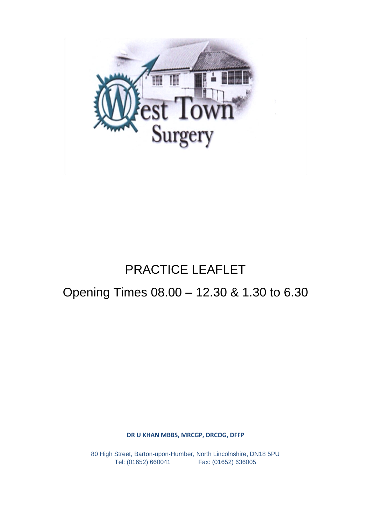

# PRACTICE LEAFLET

## Opening Times 08.00 – 12.30 & 1.30 to 6.30

**DR U KHAN MBBS, MRCGP, DRCOG, DFFP**

80 High Street, Barton-upon-Humber, North Lincolnshire, DN18 5PU Tel: (01652) 660041 Fax: (01652) 636005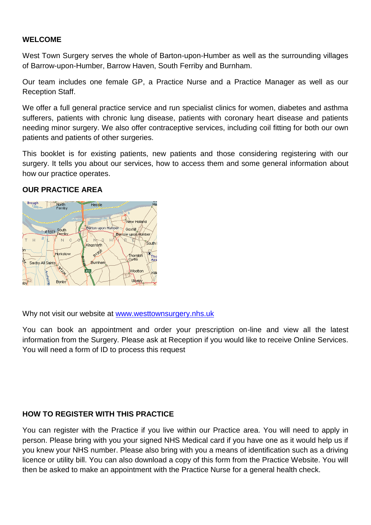## **WELCOME**

West Town Surgery serves the whole of Barton-upon-Humber as well as the surrounding villages of Barrow-upon-Humber, Barrow Haven, South Ferriby and Burnham.

Our team includes one female GP, a Practice Nurse and a Practice Manager as well as our Reception Staff.

We offer a full general practice service and run specialist clinics for women, diabetes and asthma sufferers, patients with chronic lung disease, patients with coronary heart disease and patients needing minor surgery. We also offer contraceptive services, including coil fitting for both our own patients and patients of other surgeries.

This booklet is for existing patients, new patients and those considering registering with our surgery. It tells you about our services, how to access them and some general information about how our practice operates.

## **OUR PRACTICE AREA**



Why not visit our website at [www.westtownsurgery.nhs.uk](http://www.westtownsurgery.nhs.uk/)

You can book an appointment and order your prescription on-line and view all the latest information from the Surgery. Please ask at Reception if you would like to receive Online Services. You will need a form of ID to process this request

## **HOW TO REGISTER WITH THIS PRACTICE**

You can register with the Practice if you live within our Practice area. You will need to apply in person. Please bring with you your signed NHS Medical card if you have one as it would help us if you knew your NHS number. Please also bring with you a means of identification such as a driving licence or utility bill. You can also download a copy of this form from the Practice Website. You will then be asked to make an appointment with the Practice Nurse for a general health check.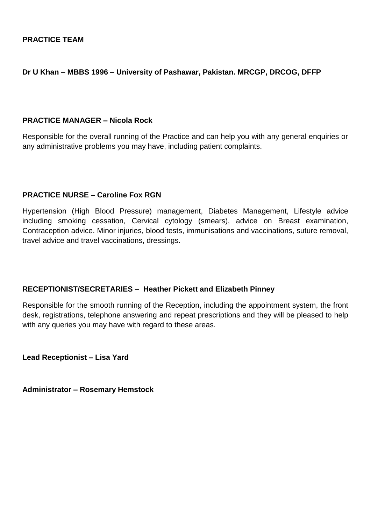## **Dr U Khan – MBBS 1996 – University of Pashawar, Pakistan. MRCGP, DRCOG, DFFP**

## **PRACTICE MANAGER – Nicola Rock**

Responsible for the overall running of the Practice and can help you with any general enquiries or any administrative problems you may have, including patient complaints.

## **PRACTICE NURSE – Caroline Fox RGN**

Hypertension (High Blood Pressure) management, Diabetes Management, Lifestyle advice including smoking cessation, Cervical cytology (smears), advice on Breast examination, Contraception advice. Minor injuries, blood tests, immunisations and vaccinations, suture removal, travel advice and travel vaccinations, dressings.

## **RECEPTIONIST/SECRETARIES – Heather Pickett and Elizabeth Pinney**

Responsible for the smooth running of the Reception, including the appointment system, the front desk, registrations, telephone answering and repeat prescriptions and they will be pleased to help with any queries you may have with regard to these areas.

**Lead Receptionist – Lisa Yard**

**Administrator – Rosemary Hemstock**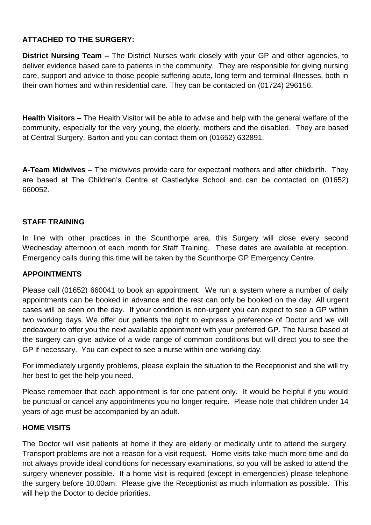## **ATTACHED TO THE SURGERY:**

**District Nursing Team –** The District Nurses work closely with your GP and other agencies, to deliver evidence based care to patients in the community. They are responsible for giving nursing care, support and advice to those people suffering acute, long term and terminal illnesses, both in their own homes and within residential care. They can be contacted on (01724) 296156.

**Health Visitors –** The Health Visitor will be able to advise and help with the general welfare of the community, especially for the very young, the elderly, mothers and the disabled. They are based at Central Surgery, Barton and you can contact them on (01652) 632891.

**A-Team Midwives –** The midwives provide care for expectant mothers and after childbirth. They are based at The Children's Centre at Castledyke School and can be contacted on (01652) 660052.

## **STAFF TRAINING**

In line with other practices in the Scunthorpe area, this Surgery will close every second Wednesday afternoon of each month for Staff Training. These dates are available at reception. Emergency calls during this time will be taken by the Scunthorpe GP Emergency Centre.

## **APPOINTMENTS**

Please call (01652) 660041 to book an appointment. We run a system where a number of daily appointments can be booked in advance and the rest can only be booked on the day. All urgent cases will be seen on the day. If your condition is non-urgent you can expect to see a GP within two working days. We offer our patients the right to express a preference of Doctor and we will endeavour to offer you the next available appointment with your preferred GP. The Nurse based at the surgery can give advice of a wide range of common conditions but will direct you to see the GP if necessary. You can expect to see a nurse within one working day.

For immediately urgently problems, please explain the situation to the Receptionist and she will try her best to get the help you need.

Please remember that each appointment is for one patient only. It would be helpful if you would be punctual or cancel any appointments you no longer require. Please note that children under 14 years of age must be accompanied by an adult.

## **HOME VISITS**

The Doctor will visit patients at home if they are elderly or medically unfit to attend the surgery. Transport problems are not a reason for a visit request. Home visits take much more time and do not always provide ideal conditions for necessary examinations, so you will be asked to attend the surgery whenever possible. If a home visit is required (except in emergencies) please telephone the surgery before 10.00am. Please give the Receptionist as much information as possible. This will help the Doctor to decide priorities.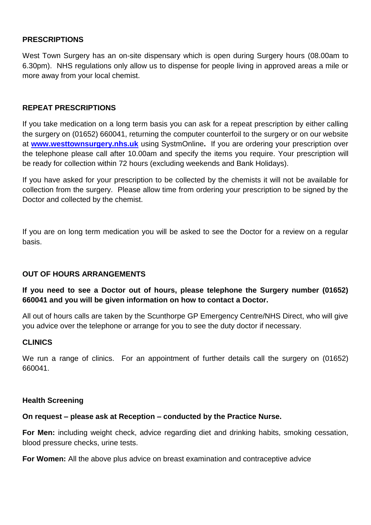## **PRESCRIPTIONS**

West Town Surgery has an on-site dispensary which is open during Surgery hours (08.00am to 6.30pm). NHS regulations only allow us to dispense for people living in approved areas a mile or more away from your local chemist.

## **REPEAT PRESCRIPTIONS**

If you take medication on a long term basis you can ask for a repeat prescription by either calling the surgery on (01652) 660041, returning the computer counterfoil to the surgery or on our website at **[www.westtownsurgery.nhs.uk](http://www.westtownsurgery.nhs.uk/)** using SystmOnline**.** If you are ordering your prescription over the telephone please call after 10.00am and specify the items you require. Your prescription will be ready for collection within 72 hours (excluding weekends and Bank Holidays).

If you have asked for your prescription to be collected by the chemists it will not be available for collection from the surgery. Please allow time from ordering your prescription to be signed by the Doctor and collected by the chemist.

If you are on long term medication you will be asked to see the Doctor for a review on a regular basis.

## **OUT OF HOURS ARRANGEMENTS**

## **If you need to see a Doctor out of hours, please telephone the Surgery number (01652) 660041 and you will be given information on how to contact a Doctor.**

All out of hours calls are taken by the Scunthorpe GP Emergency Centre/NHS Direct, who will give you advice over the telephone or arrange for you to see the duty doctor if necessary.

## **CLINICS**

We run a range of clinics. For an appointment of further details call the surgery on (01652) 660041.

## **Health Screening**

## **On request – please ask at Reception – conducted by the Practice Nurse.**

**For Men:** including weight check, advice regarding diet and drinking habits, smoking cessation, blood pressure checks, urine tests.

**For Women:** All the above plus advice on breast examination and contraceptive advice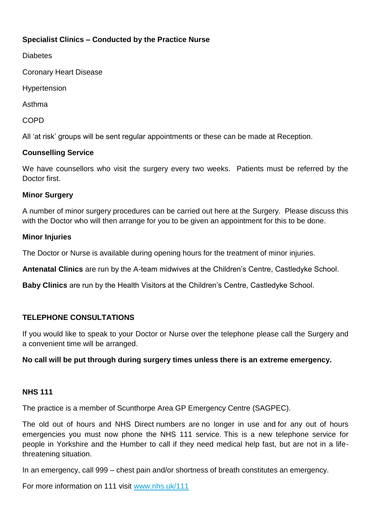## **Specialist Clinics – Conducted by the Practice Nurse**

**Diabetes** 

Coronary Heart Disease

Hypertension

Asthma

COPD

All 'at risk' groups will be sent regular appointments or these can be made at Reception.

## **Counselling Service**

We have counsellors who visit the surgery every two weeks. Patients must be referred by the Doctor first.

## **Minor Surgery**

A number of minor surgery procedures can be carried out here at the Surgery. Please discuss this with the Doctor who will then arrange for you to be given an appointment for this to be done.

## **Minor Injuries**

The Doctor or Nurse is available during opening hours for the treatment of minor injuries.

**Antenatal Clinics** are run by the A-team midwives at the Children's Centre, Castledyke School.

**Baby Clinics** are run by the Health Visitors at the Children's Centre, Castledyke School.

## **TELEPHONE CONSULTATIONS**

If you would like to speak to your Doctor or Nurse over the telephone please call the Surgery and a convenient time will be arranged.

## **No call will be put through during surgery times unless there is an extreme emergency.**

## **NHS 111**

The practice is a member of Scunthorpe Area GP Emergency Centre (SAGPEC).

The old out of hours and NHS Direct numbers are no longer in use and for any out of hours emergencies you must now phone the NHS 111 service. This is a new telephone service for people in Yorkshire and the Humber to call if they need medical help fast, but are not in a lifethreatening situation.

In an emergency, call 999 – chest pain and/or shortness of breath constitutes an emergency.

For more information on 111 visit [www.nhs.uk/111](http://www.nhs.uk/NHSEngland/AboutNHSservices/Emergencyandurgentcareservices/Pages/NHS-111.aspx)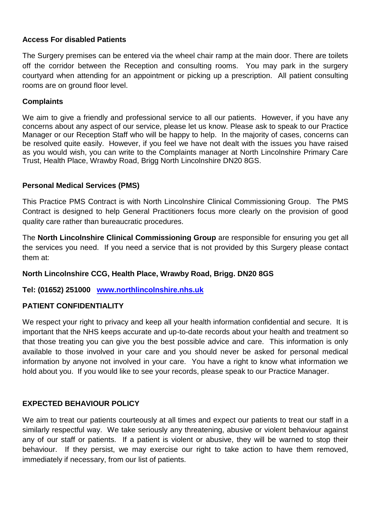## **Access For disabled Patients**

The Surgery premises can be entered via the wheel chair ramp at the main door. There are toilets off the corridor between the Reception and consulting rooms. You may park in the surgery courtyard when attending for an appointment or picking up a prescription. All patient consulting rooms are on ground floor level.

## **Complaints**

We aim to give a friendly and professional service to all our patients. However, if you have any concerns about any aspect of our service, please let us know. Please ask to speak to our Practice Manager or our Reception Staff who will be happy to help. In the majority of cases, concerns can be resolved quite easily. However, if you feel we have not dealt with the issues you have raised as you would wish, you can write to the Complaints manager at North Lincolnshire Primary Care Trust, Health Place, Wrawby Road, Brigg North Lincolnshire DN20 8GS.

## **Personal Medical Services (PMS)**

This Practice PMS Contract is with North Lincolnshire Clinical Commissioning Group. The PMS Contract is designed to help General Practitioners focus more clearly on the provision of good quality care rather than bureaucratic procedures.

The **North Lincolnshire Clinical Commissioning Group** are responsible for ensuring you get all the services you need. If you need a service that is not provided by this Surgery please contact them at:

## **North Lincolnshire CCG, Health Place, Wrawby Road, Brigg. DN20 8GS**

## **Tel: (01652) 251000 [www.northlincolnshire.nhs.uk](http://www.northlincolnshire.nhs.uk/)**

## **PATIENT CONFIDENTIALITY**

We respect your right to privacy and keep all your health information confidential and secure. It is important that the NHS keeps accurate and up-to-date records about your health and treatment so that those treating you can give you the best possible advice and care. This information is only available to those involved in your care and you should never be asked for personal medical information by anyone not involved in your care. You have a right to know what information we hold about you. If you would like to see your records, please speak to our Practice Manager.

## **EXPECTED BEHAVIOUR POLICY**

We aim to treat our patients courteously at all times and expect our patients to treat our staff in a similarly respectful way. We take seriously any threatening, abusive or violent behaviour against any of our staff or patients. If a patient is violent or abusive, they will be warned to stop their behaviour. If they persist, we may exercise our right to take action to have them removed, immediately if necessary, from our list of patients.